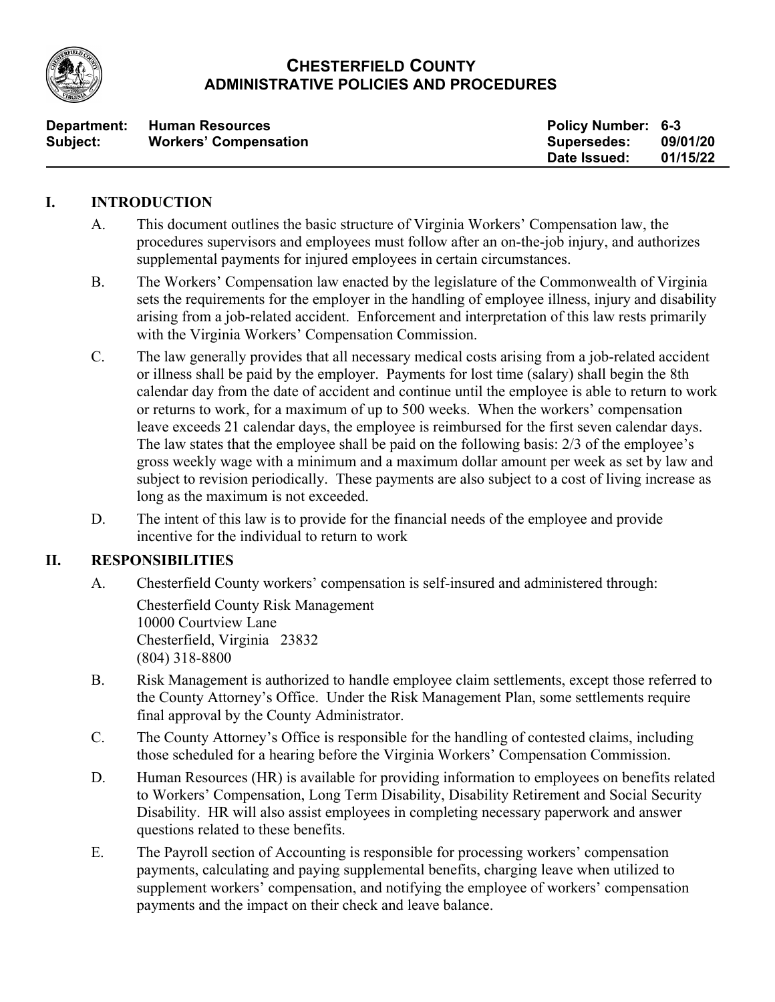

## **CHESTERFIELD COUNTY ADMINISTRATIVE POLICIES AND PROCEDURES**

| Department: | <b>Human Resources</b>       | <b>Policy Number: 6-3</b> |          |
|-------------|------------------------------|---------------------------|----------|
| Subject:    | <b>Workers' Compensation</b> | <b>Supersedes:</b>        | 09/01/20 |
|             |                              | Date Issued:              | 01/15/22 |

#### **I. INTRODUCTION**

- A. This document outlines the basic structure of Virginia Workers' Compensation law, the procedures supervisors and employees must follow after an on-the-job injury, and authorizes supplemental payments for injured employees in certain circumstances.
- B. The Workers' Compensation law enacted by the legislature of the Commonwealth of Virginia sets the requirements for the employer in the handling of employee illness, injury and disability arising from a job-related accident. Enforcement and interpretation of this law rests primarily with the Virginia Workers' Compensation Commission.
- C. The law generally provides that all necessary medical costs arising from a job-related accident or illness shall be paid by the employer. Payments for lost time (salary) shall begin the 8th calendar day from the date of accident and continue until the employee is able to return to work or returns to work, for a maximum of up to 500 weeks. When the workers' compensation leave exceeds 21 calendar days, the employee is reimbursed for the first seven calendar days. The law states that the employee shall be paid on the following basis: 2/3 of the employee's gross weekly wage with a minimum and a maximum dollar amount per week as set by law and subject to revision periodically. These payments are also subject to a cost of living increase as long as the maximum is not exceeded.
- D. The intent of this law is to provide for the financial needs of the employee and provide incentive for the individual to return to work

## **II. RESPONSIBILITIES**

A. Chesterfield County workers' compensation is self-insured and administered through:

Chesterfield County Risk Management 10000 Courtview Lane Chesterfield, Virginia 23832 (804) 318-8800

- B. Risk Management is authorized to handle employee claim settlements, except those referred to the County Attorney's Office. Under the Risk Management Plan, some settlements require final approval by the County Administrator.
- C. The County Attorney's Office is responsible for the handling of contested claims, including those scheduled for a hearing before the Virginia Workers' Compensation Commission.
- D. Human Resources (HR) is available for providing information to employees on benefits related to Workers' Compensation, Long Term Disability, Disability Retirement and Social Security Disability. HR will also assist employees in completing necessary paperwork and answer questions related to these benefits.
- E. The Payroll section of Accounting is responsible for processing workers' compensation payments, calculating and paying supplemental benefits, charging leave when utilized to supplement workers' compensation, and notifying the employee of workers' compensation payments and the impact on their check and leave balance.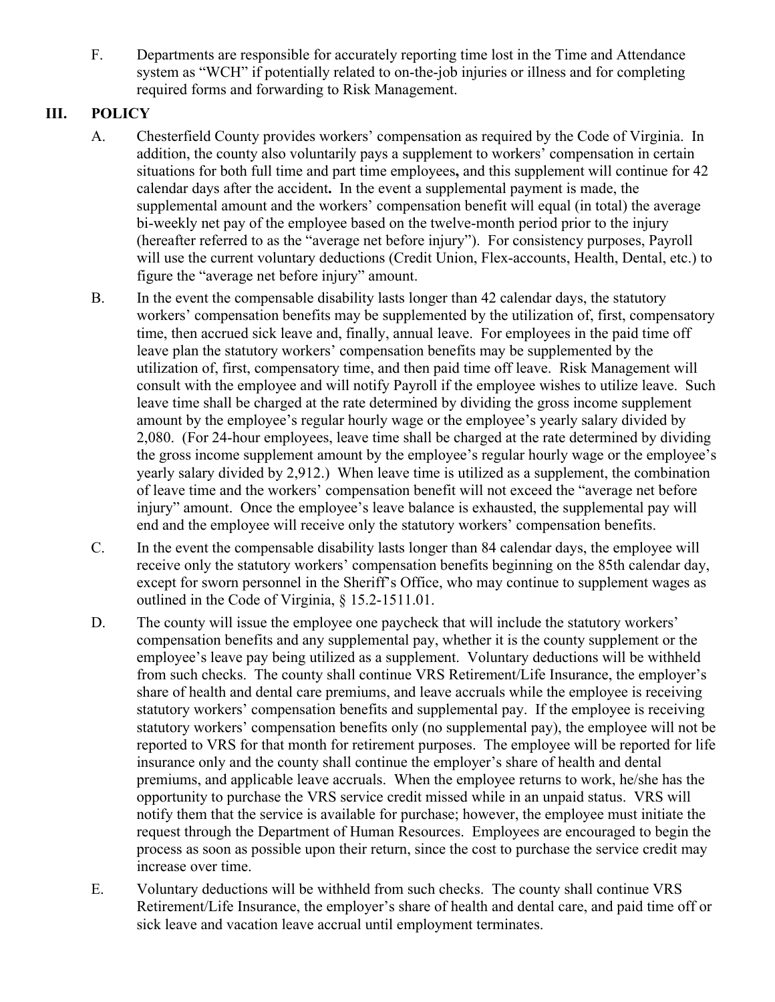F. Departments are responsible for accurately reporting time lost in the Time and Attendance system as "WCH" if potentially related to on-the-job injuries or illness and for completing required forms and forwarding to Risk Management.

## **III. POLICY**

- A. Chesterfield County provides workers' compensation as required by the Code of Virginia. In addition, the county also voluntarily pays a supplement to workers' compensation in certain situations for both full time and part time employees**,** and this supplement will continue for 42 calendar days after the accident**.** In the event a supplemental payment is made, the supplemental amount and the workers' compensation benefit will equal (in total) the average bi-weekly net pay of the employee based on the twelve-month period prior to the injury (hereafter referred to as the "average net before injury"). For consistency purposes, Payroll will use the current voluntary deductions (Credit Union, Flex-accounts, Health, Dental, etc.) to figure the "average net before injury" amount.
- B. In the event the compensable disability lasts longer than 42 calendar days, the statutory workers' compensation benefits may be supplemented by the utilization of, first, compensatory time, then accrued sick leave and, finally, annual leave. For employees in the paid time off leave plan the statutory workers' compensation benefits may be supplemented by the utilization of, first, compensatory time, and then paid time off leave. Risk Management will consult with the employee and will notify Payroll if the employee wishes to utilize leave. Such leave time shall be charged at the rate determined by dividing the gross income supplement amount by the employee's regular hourly wage or the employee's yearly salary divided by 2,080. (For 24-hour employees, leave time shall be charged at the rate determined by dividing the gross income supplement amount by the employee's regular hourly wage or the employee's yearly salary divided by 2,912.) When leave time is utilized as a supplement, the combination of leave time and the workers' compensation benefit will not exceed the "average net before injury" amount. Once the employee's leave balance is exhausted, the supplemental pay will end and the employee will receive only the statutory workers' compensation benefits.
- C. In the event the compensable disability lasts longer than 84 calendar days, the employee will receive only the statutory workers' compensation benefits beginning on the 85th calendar day, except for sworn personnel in the Sheriff's Office, who may continue to supplement wages as outlined in the Code of Virginia, § 15.2-1511.01.
- D. The county will issue the employee one paycheck that will include the statutory workers' compensation benefits and any supplemental pay, whether it is the county supplement or the employee's leave pay being utilized as a supplement. Voluntary deductions will be withheld from such checks. The county shall continue VRS Retirement/Life Insurance, the employer's share of health and dental care premiums, and leave accruals while the employee is receiving statutory workers' compensation benefits and supplemental pay. If the employee is receiving statutory workers' compensation benefits only (no supplemental pay), the employee will not be reported to VRS for that month for retirement purposes. The employee will be reported for life insurance only and the county shall continue the employer's share of health and dental premiums, and applicable leave accruals. When the employee returns to work, he/she has the opportunity to purchase the VRS service credit missed while in an unpaid status. VRS will notify them that the service is available for purchase; however, the employee must initiate the request through the Department of Human Resources. Employees are encouraged to begin the process as soon as possible upon their return, since the cost to purchase the service credit may increase over time.
- E. Voluntary deductions will be withheld from such checks. The county shall continue VRS Retirement/Life Insurance, the employer's share of health and dental care, and paid time off or sick leave and vacation leave accrual until employment terminates.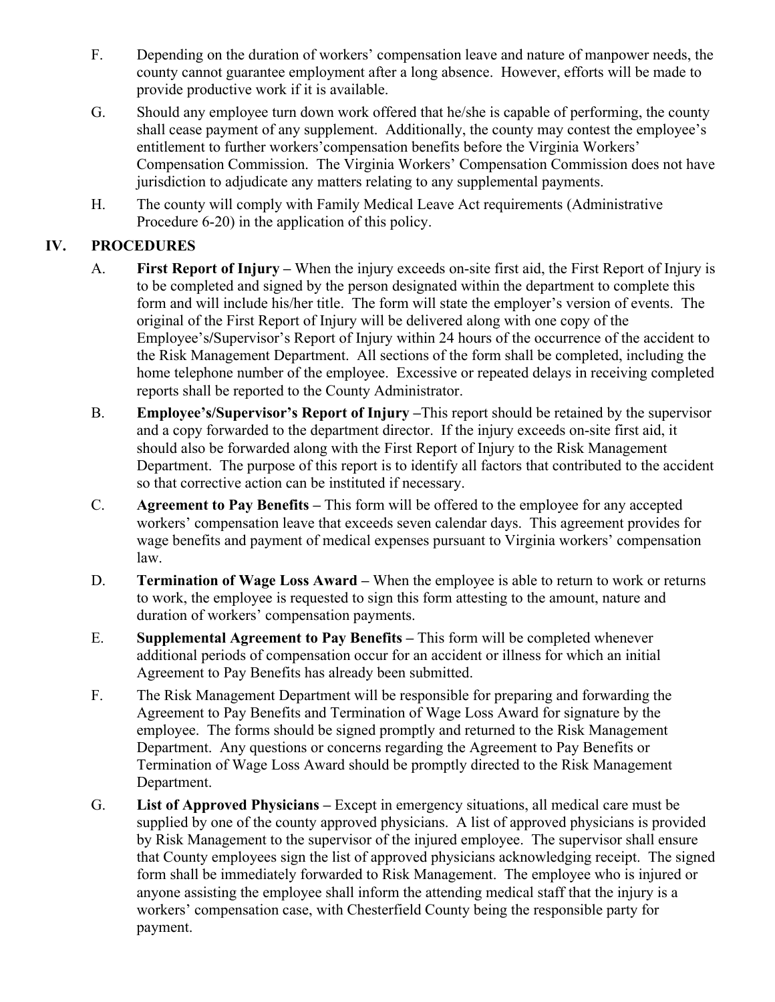- F. Depending on the duration of workers' compensation leave and nature of manpower needs, the county cannot guarantee employment after a long absence. However, efforts will be made to provide productive work if it is available.
- G. Should any employee turn down work offered that he/she is capable of performing, the county shall cease payment of any supplement. Additionally, the county may contest the employee's entitlement to further workers'compensation benefits before the Virginia Workers' Compensation Commission. The Virginia Workers' Compensation Commission does not have jurisdiction to adjudicate any matters relating to any supplemental payments.
- H. The county will comply with Family Medical Leave Act requirements (Administrative Procedure 6-20) in the application of this policy.

# **IV. PROCEDURES**

- A. **First Report of Injury –** When the injury exceeds on-site first aid, the First Report of Injury is to be completed and signed by the person designated within the department to complete this form and will include his/her title. The form will state the employer's version of events. The original of the First Report of Injury will be delivered along with one copy of the Employee's**/**Supervisor's Report of Injury within 24 hours of the occurrence of the accident to the Risk Management Department. All sections of the form shall be completed, including the home telephone number of the employee. Excessive or repeated delays in receiving completed reports shall be reported to the County Administrator.
- B. **Employee's/Supervisor's Report of Injury –**This report should be retained by the supervisor and a copy forwarded to the department director. If the injury exceeds on-site first aid, it should also be forwarded along with the First Report of Injury to the Risk Management Department. The purpose of this report is to identify all factors that contributed to the accident so that corrective action can be instituted if necessary.
- C. **Agreement to Pay Benefits –** This form will be offered to the employee for any accepted workers' compensation leave that exceeds seven calendar days. This agreement provides for wage benefits and payment of medical expenses pursuant to Virginia workers' compensation law.
- D. **Termination of Wage Loss Award –** When the employee is able to return to work or returns to work, the employee is requested to sign this form attesting to the amount, nature and duration of workers' compensation payments.
- E. **Supplemental Agreement to Pay Benefits –** This form will be completed whenever additional periods of compensation occur for an accident or illness for which an initial Agreement to Pay Benefits has already been submitted.
- F. The Risk Management Department will be responsible for preparing and forwarding the Agreement to Pay Benefits and Termination of Wage Loss Award for signature by the employee. The forms should be signed promptly and returned to the Risk Management Department. Any questions or concerns regarding the Agreement to Pay Benefits or Termination of Wage Loss Award should be promptly directed to the Risk Management Department.
- G. **List of Approved Physicians –** Except in emergency situations, all medical care must be supplied by one of the county approved physicians. A list of approved physicians is provided by Risk Management to the supervisor of the injured employee. The supervisor shall ensure that County employees sign the list of approved physicians acknowledging receipt. The signed form shall be immediately forwarded to Risk Management. The employee who is injured or anyone assisting the employee shall inform the attending medical staff that the injury is a workers' compensation case, with Chesterfield County being the responsible party for payment.